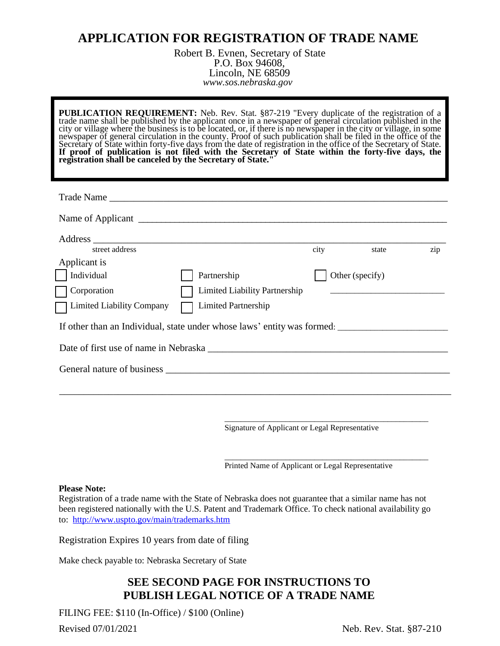## **APPLICATION FOR REGISTRATION OF TRADE NAME**

Robert B. Evnen, Secretary of State P.O. Box 94608, Lincoln, NE 68509 *www.sos.nebraska.gov*

**PUBLICATION REQUIREMENT:** Neb. Rev. Stat. §87-219 "Every duplicate of the registration of a trade name shall be published by the applicant once in a newspaper of general circulation published in the city or village where the business is to be located, or, if there is no newspaper in the city or village, in some newspaper of general circulation in the county. Proof of such publication shall be filed in the office of the Secretary of State within forty-five days from the date of registration in the office of the Secretary of State. If proof of publication is not filed with the Secretary of State within the forty-five days, the **registration shall be canceled by the Secretary of State."**

| street address                                                                                                                                                                                                                 |                               | city | state                                                                           | zip |
|--------------------------------------------------------------------------------------------------------------------------------------------------------------------------------------------------------------------------------|-------------------------------|------|---------------------------------------------------------------------------------|-----|
| Applicant is                                                                                                                                                                                                                   |                               |      |                                                                                 |     |
| Individual                                                                                                                                                                                                                     | Partnership                   |      | Other (specify)                                                                 |     |
| Corporation                                                                                                                                                                                                                    | Limited Liability Partnership |      | the contract of the contract of the contract of the contract of the contract of |     |
| Limited Liability Company                                                                                                                                                                                                      | <b>Limited Partnership</b>    |      |                                                                                 |     |
| If other than an Individual, state under whose laws' entity was formed:                                                                                                                                                        |                               |      |                                                                                 |     |
| Date of first use of name in Nebraska                                                                                                                                                                                          |                               |      |                                                                                 |     |
| General nature of business experience of the state of the state of the state of the state of the state of the state of the state of the state of the state of the state of the state of the state of the state of the state of |                               |      |                                                                                 |     |
|                                                                                                                                                                                                                                |                               |      |                                                                                 |     |

Signature of Applicant or Legal Representative

\_\_\_\_\_\_\_\_\_\_\_\_\_\_\_\_\_\_\_\_\_\_\_\_\_\_\_\_\_\_\_\_\_\_\_\_\_\_\_\_\_\_\_\_\_\_\_\_\_\_

\_\_\_\_\_\_\_\_\_\_\_\_\_\_\_\_\_\_\_\_\_\_\_\_\_\_\_\_\_\_\_\_\_\_\_\_\_\_\_\_\_\_\_\_\_\_\_\_\_\_

Printed Name of Applicant or Legal Representative

## **Please Note:**

Registration of a trade name with the State of Nebraska does not guarantee that a similar name has not been registered nationally with the U.S. Patent and Trademark Office. To check national availability go to: <http://www.uspto.gov/main/trademarks.htm>

Registration Expires 10 years from date of filing

Make check payable to: Nebraska Secretary of State

## **SEE SECOND PAGE FOR INSTRUCTIONS TO PUBLISH LEGAL NOTICE OF A TRADE NAME**

FILING FEE: \$110 (In-Office) / \$100 (Online)

Revised 07/01/2021 **Neb.** Rev. Stat. §87-210